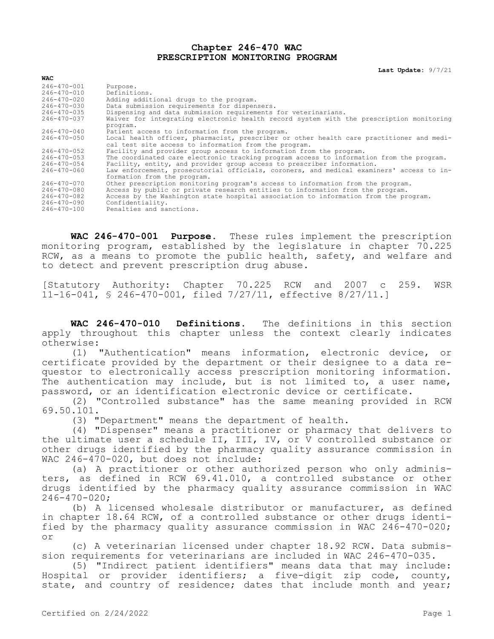## **Chapter 246-470 WAC PRESCRIPTION MONITORING PROGRAM**

**Last Update:** 9/7/21

| <b>WAC</b>        |                                                                                          |  |
|-------------------|------------------------------------------------------------------------------------------|--|
| $246 - 470 - 001$ | Purpose.                                                                                 |  |
| $246 - 470 - 010$ | Definitions.                                                                             |  |
| 246-470-020       | Adding additional drugs to the program.                                                  |  |
| $246 - 470 - 030$ | Data submission requirements for dispensers.                                             |  |
| 246-470-035       | Dispensing and data submission requirements for veterinarians.                           |  |
| 246-470-037       | Waiver for integrating electronic health record system with the prescription monitoring  |  |
|                   | program.                                                                                 |  |
| $246 - 470 - 040$ | Patient access to information from the program.                                          |  |
| 246-470-050       | Local health officer, pharmacist, prescriber or other health care practitioner and medi- |  |
|                   | cal test site access to information from the program.                                    |  |
| $246 - 470 - 052$ | Facility and provider group access to information from the program.                      |  |
| 246-470-053       | The coordinated care electronic tracking program access to information from the program. |  |
| $246 - 470 - 054$ | Facility, entity, and provider group access to prescriber information.                   |  |
| 246-470-060       | Law enforcement, prosecutorial officials, coroners, and medical examiners' access to in- |  |
|                   | formation from the program.                                                              |  |
| $246 - 470 - 070$ | Other prescription monitoring program's access to information from the program.          |  |
| 246-470-080       | Access by public or private research entities to information from the program.           |  |
| 246-470-082       | Access by the Washington state hospital association to information from the program.     |  |
| 246-470-090       | Confidentiality.                                                                         |  |
| 246-470-100       | Penalties and sanctions.                                                                 |  |

**WAC 246-470-001 Purpose.** These rules implement the prescription monitoring program, established by the legislature in chapter 70.225 RCW, as a means to promote the public health, safety, and welfare and to detect and prevent prescription drug abuse.

[Statutory Authority: Chapter 70.225 RCW and 2007 c 259. WSR 11-16-041, § 246-470-001, filed 7/27/11, effective 8/27/11.]

**WAC 246-470-010 Definitions.** The definitions in this section apply throughout this chapter unless the context clearly indicates otherwise:

(1) "Authentication" means information, electronic device, or certificate provided by the department or their designee to a data requestor to electronically access prescription monitoring information. The authentication may include, but is not limited to, a user name, password, or an identification electronic device or certificate.

(2) "Controlled substance" has the same meaning provided in RCW 69.50.101.

(3) "Department" means the department of health.

(4) "Dispenser" means a practitioner or pharmacy that delivers to the ultimate user a schedule II, III, IV, or V controlled substance or other drugs identified by the pharmacy quality assurance commission in WAC 246-470-020, but does not include:

(a) A practitioner or other authorized person who only administers, as defined in RCW 69.41.010, a controlled substance or other drugs identified by the pharmacy quality assurance commission in WAC  $246 - 470 - 020$ ;

(b) A licensed wholesale distributor or manufacturer, as defined in chapter 18.64 RCW, of a controlled substance or other drugs identified by the pharmacy quality assurance commission in WAC 246-470-020; or

(c) A veterinarian licensed under chapter 18.92 RCW. Data submission requirements for veterinarians are included in WAC 246-470-035.

(5) "Indirect patient identifiers" means data that may include: Hospital or provider identifiers; a five-digit zip code, county, state, and country of residence; dates that include month and year;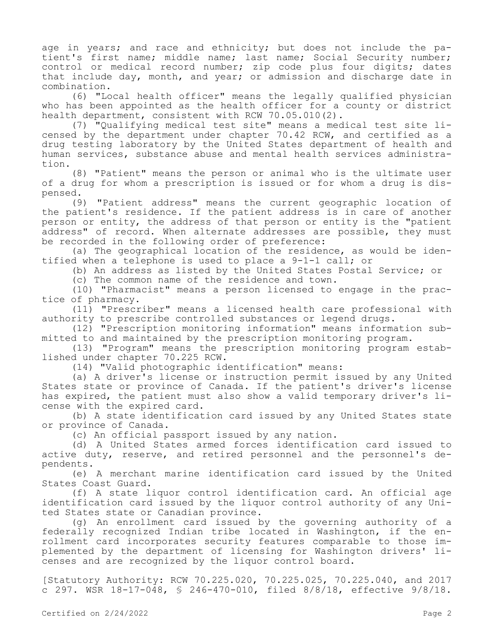age in years; and race and ethnicity; but does not include the patient's first name; middle name; last name; Social Security number; control or medical record number; zip code plus four digits; dates that include day, month, and year; or admission and discharge date in combination.

(6) "Local health officer" means the legally qualified physician who has been appointed as the health officer for a county or district health department, consistent with RCW 70.05.010(2).

(7) "Qualifying medical test site" means a medical test site licensed by the department under chapter 70.42 RCW, and certified as a drug testing laboratory by the United States department of health and human services, substance abuse and mental health services administration.

(8) "Patient" means the person or animal who is the ultimate user of a drug for whom a prescription is issued or for whom a drug is dispensed.

(9) "Patient address" means the current geographic location of the patient's residence. If the patient address is in care of another person or entity, the address of that person or entity is the "patient address" of record. When alternate addresses are possible, they must be recorded in the following order of preference:

(a) The geographical location of the residence, as would be identified when a telephone is used to place a 9-1-1 call; or

(b) An address as listed by the United States Postal Service; or

(c) The common name of the residence and town.

(10) "Pharmacist" means a person licensed to engage in the practice of pharmacy.

(11) "Prescriber" means a licensed health care professional with authority to prescribe controlled substances or legend drugs.

(12) "Prescription monitoring information" means information submitted to and maintained by the prescription monitoring program.

(13) "Program" means the prescription monitoring program established under chapter 70.225 RCW.

(14) "Valid photographic identification" means:

(a) A driver's license or instruction permit issued by any United States state or province of Canada. If the patient's driver's license has expired, the patient must also show a valid temporary driver's license with the expired card.

(b) A state identification card issued by any United States state or province of Canada.

(c) An official passport issued by any nation.

(d) A United States armed forces identification card issued to active duty, reserve, and retired personnel and the personnel's dependents.

(e) A merchant marine identification card issued by the United States Coast Guard.

(f) A state liquor control identification card. An official age identification card issued by the liquor control authority of any United States state or Canadian province.

(g) An enrollment card issued by the governing authority of a federally recognized Indian tribe located in Washington, if the enrollment card incorporates security features comparable to those implemented by the department of licensing for Washington drivers' licenses and are recognized by the liquor control board.

[Statutory Authority: RCW 70.225.020, 70.225.025, 70.225.040, and 2017 c 297. WSR 18-17-048, § 246-470-010, filed 8/8/18, effective 9/8/18.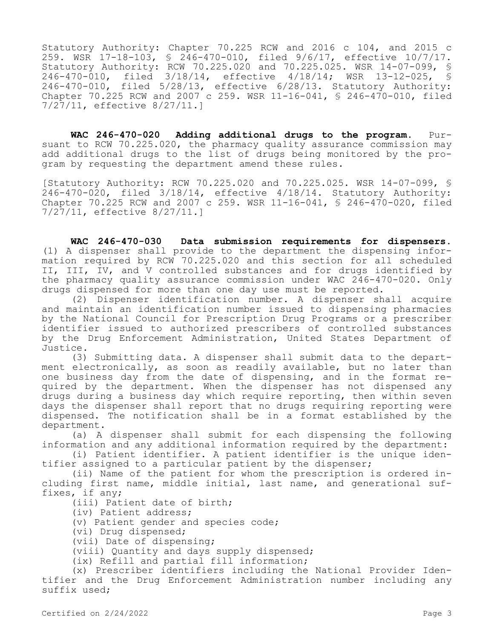Statutory Authority: Chapter 70.225 RCW and 2016 c 104, and 2015 c 259. WSR 17-18-103, § 246-470-010, filed 9/6/17, effective 10/7/17. Statutory Authority: RCW 70.225.020 and 70.225.025. WSR 14-07-099, \$<br>246-470-010, filed 3/18/14, effective 4/18/14; WSR 13-12-025, \$ 246-470-010, filed 3/18/14, effective 4/18/14; WSR 13-12-025, 246-470-010, filed 5/28/13, effective 6/28/13. Statutory Authority: Chapter 70.225 RCW and 2007 c 259. WSR 11-16-041, § 246-470-010, filed 7/27/11, effective 8/27/11.]

**WAC 246-470-020 Adding additional drugs to the program.** Pursuant to RCW 70.225.020, the pharmacy quality assurance commission may add additional drugs to the list of drugs being monitored by the program by requesting the department amend these rules.

[Statutory Authority: RCW 70.225.020 and 70.225.025. WSR 14-07-099, § 246-470-020, filed 3/18/14, effective 4/18/14. Statutory Authority: Chapter 70.225 RCW and 2007 c 259. WSR 11-16-041, § 246-470-020, filed 7/27/11, effective 8/27/11.]

**WAC 246-470-030 Data submission requirements for dispensers.**  (1) A dispenser shall provide to the department the dispensing information required by RCW 70.225.020 and this section for all scheduled II, III, IV, and V controlled substances and for drugs identified by the pharmacy quality assurance commission under WAC 246-470-020. Only drugs dispensed for more than one day use must be reported.

(2) Dispenser identification number. A dispenser shall acquire and maintain an identification number issued to dispensing pharmacies by the National Council for Prescription Drug Programs or a prescriber identifier issued to authorized prescribers of controlled substances by the Drug Enforcement Administration, United States Department of Justice.

(3) Submitting data. A dispenser shall submit data to the department electronically, as soon as readily available, but no later than one business day from the date of dispensing, and in the format required by the department. When the dispenser has not dispensed any drugs during a business day which require reporting, then within seven days the dispenser shall report that no drugs requiring reporting were dispensed. The notification shall be in a format established by the department.

(a) A dispenser shall submit for each dispensing the following information and any additional information required by the department:

(i) Patient identifier. A patient identifier is the unique identifier assigned to a particular patient by the dispenser;

(ii) Name of the patient for whom the prescription is ordered including first name, middle initial, last name, and generational suffixes, if any;

(iii) Patient date of birth;

(iv) Patient address;

(v) Patient gender and species code;

(vi) Drug dispensed;

(vii) Date of dispensing;

(viii) Quantity and days supply dispensed;

(ix) Refill and partial fill information;

(x) Prescriber identifiers including the National Provider Identifier and the Drug Enforcement Administration number including any suffix used;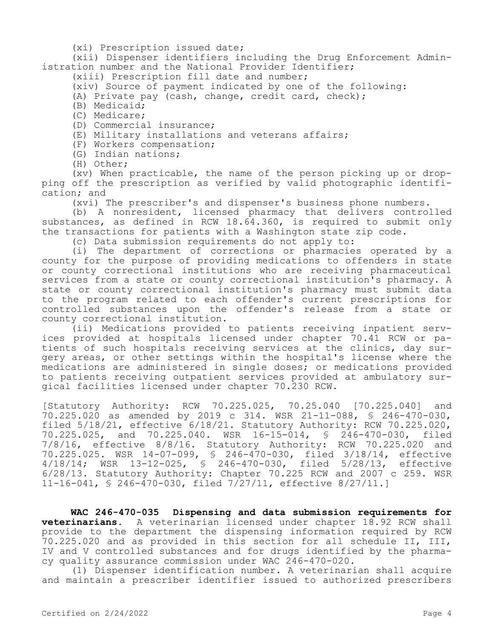(xi) Prescription issued date;

(xii) Dispenser identifiers including the Drug Enforcement Administration number and the National Provider Identifier;

(xiii) Prescription fill date and number;

(xiv) Source of payment indicated by one of the following:

(A) Private pay (cash, change, credit card, check);

(B) Medicaid;

(C) Medicare;

(D) Commercial insurance;

(E) Military installations and veterans affairs;

(F) Workers compensation;

(G) Indian nations;

(H) Other;

(xv) When practicable, the name of the person picking up or dropping off the prescription as verified by valid photographic identification; and

(xvi) The prescriber's and dispenser's business phone numbers.

(b) A nonresident, licensed pharmacy that delivers controlled substances, as defined in RCW 18.64.360, is required to submit only the transactions for patients with a Washington state zip code.

(c) Data submission requirements do not apply to:

(i) The department of corrections or pharmacies operated by a county for the purpose of providing medications to offenders in state or county correctional institutions who are receiving pharmaceutical services from a state or county correctional institution's pharmacy. A state or county correctional institution's pharmacy must submit data to the program related to each offender's current prescriptions for controlled substances upon the offender's release from a state or county correctional institution.

(ii) Medications provided to patients receiving inpatient services provided at hospitals licensed under chapter 70.41 RCW or patients of such hospitals receiving services at the clinics, day surgery areas, or other settings within the hospital's license where the medications are administered in single doses; or medications provided to patients receiving outpatient services provided at ambulatory surgical facilities licensed under chapter 70.230 RCW.

[Statutory Authority: RCW 70.225.025, 70.25.040 [70.225.040] and 70.225.020 as amended by 2019 c 314. WSR 21-11-088, § 246-470-030, filed  $5/18/21$ , effective  $6/18/21$ . Statutory Authority: RCW 70.225.020, 70.225.025, and 70.225.040. WSR 16-15-014, § 246-470-030, filed 7/8/16, effective 8/8/16. Statutory Authority: RCW 70.225.020 and 70.225.025. WSR 14-07-099, § 246-470-030, filed 3/18/14, effective 4/18/14; WSR 13-12-025, § 246-470-030, filed 5/28/13, effective 6/28/13. Statutory Authority: Chapter 70.225 RCW and 2007 c 259. WSR 11-16-041, § 246-470-030, filed 7/27/11, effective 8/27/11.]

**WAC 246-470-035 Dispensing and data submission requirements for veterinarians.** A veterinarian licensed under chapter 18.92 RCW shall provide to the department the dispensing information required by RCW 70.225.020 and as provided in this section for all schedule II, III, IV and V controlled substances and for drugs identified by the pharmacy quality assurance commission under WAC 246-470-020.

(1) Dispenser identification number. A veterinarian shall acquire and maintain a prescriber identifier issued to authorized prescribers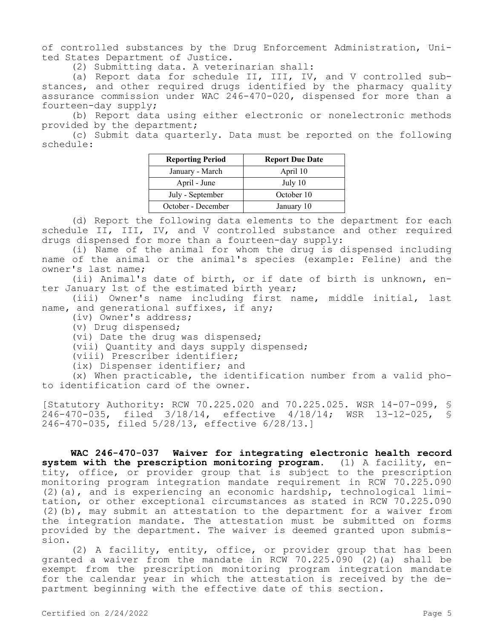of controlled substances by the Drug Enforcement Administration, United States Department of Justice.

(2) Submitting data. A veterinarian shall:

(a) Report data for schedule II, III, IV, and V controlled substances, and other required drugs identified by the pharmacy quality assurance commission under WAC 246-470-020, dispensed for more than a fourteen-day supply;

(b) Report data using either electronic or nonelectronic methods provided by the department;

(c) Submit data quarterly. Data must be reported on the following schedule:

| <b>Reporting Period</b> | <b>Report Due Date</b> |
|-------------------------|------------------------|
| January - March         | April 10               |
| April - June            | July 10                |
| July - September        | October 10             |
| October - December      | January 10             |

(d) Report the following data elements to the department for each schedule II, III, IV, and V controlled substance and other required drugs dispensed for more than a fourteen-day supply:

(i) Name of the animal for whom the drug is dispensed including name of the animal or the animal's species (example: Feline) and the owner's last name;

(ii) Animal's date of birth, or if date of birth is unknown, enter January 1st of the estimated birth year;

(iii) Owner's name including first name, middle initial, last name, and generational suffixes, if any;

(iv) Owner's address;

(v) Drug dispensed;

(vi) Date the drug was dispensed;

(vii) Quantity and days supply dispensed;

(viii) Prescriber identifier;

(ix) Dispenser identifier; and

(x) When practicable, the identification number from a valid photo identification card of the owner.

[Statutory Authority: RCW 70.225.020 and 70.225.025. WSR 14-07-099, § 246-470-035, filed 3/18/14, effective 4/18/14; WSR 13-12-025, § 246-470-035, filed 5/28/13, effective 6/28/13.]

**WAC 246-470-037 Waiver for integrating electronic health record system with the prescription monitoring program.** (1) A facility, entity, office, or provider group that is subject to the prescription monitoring program integration mandate requirement in RCW 70.225.090 (2)(a), and is experiencing an economic hardship, technological limitation, or other exceptional circumstances as stated in RCW 70.225.090 (2)(b), may submit an attestation to the department for a waiver from the integration mandate. The attestation must be submitted on forms provided by the department. The waiver is deemed granted upon submission.

(2) A facility, entity, office, or provider group that has been granted a waiver from the mandate in RCW  $70.225.090$  (2)(a) shall be exempt from the prescription monitoring program integration mandate for the calendar year in which the attestation is received by the department beginning with the effective date of this section.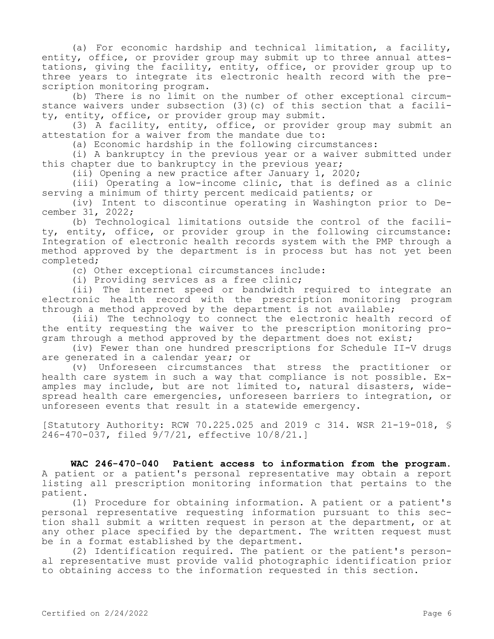(a) For economic hardship and technical limitation, a facility, entity, office, or provider group may submit up to three annual attestations, giving the facility, entity, office, or provider group up to three years to integrate its electronic health record with the prescription monitoring program.

(b) There is no limit on the number of other exceptional circumstance waivers under subsection (3)(c) of this section that a facility, entity, office, or provider group may submit.

(3) A facility, entity, office, or provider group may submit an attestation for a waiver from the mandate due to:

(a) Economic hardship in the following circumstances:

(i) A bankruptcy in the previous year or a waiver submitted under this chapter due to bankruptcy in the previous year;

(ii) Opening a new practice after January  $\overline{1}$ , 2020;

(iii) Operating a low-income clinic, that is defined as a clinic serving a minimum of thirty percent medicaid patients; or

(iv) Intent to discontinue operating in Washington prior to December 31, 2022;

(b) Technological limitations outside the control of the facility, entity, office, or provider group in the following circumstance: Integration of electronic health records system with the PMP through a method approved by the department is in process but has not yet been completed;

(c) Other exceptional circumstances include:

(i) Providing services as a free clinic;

(ii) The internet speed or bandwidth required to integrate an electronic health record with the prescription monitoring program through a method approved by the department is not available;

(iii) The technology to connect the electronic health record of the entity requesting the waiver to the prescription monitoring program through a method approved by the department does not exist;

(iv) Fewer than one hundred prescriptions for Schedule II-V drugs are generated in a calendar year; or

(v) Unforeseen circumstances that stress the practitioner or health care system in such a way that compliance is not possible. Examples may include, but are not limited to, natural disasters, widespread health care emergencies, unforeseen barriers to integration, or unforeseen events that result in a statewide emergency.

[Statutory Authority: RCW 70.225.025 and 2019 c 314. WSR 21-19-018, § 246-470-037, filed 9/7/21, effective 10/8/21.]

**WAC 246-470-040 Patient access to information from the program.**  A patient or a patient's personal representative may obtain a report listing all prescription monitoring information that pertains to the patient.

(1) Procedure for obtaining information. A patient or a patient's personal representative requesting information pursuant to this section shall submit a written request in person at the department, or at any other place specified by the department. The written request must be in a format established by the department.

(2) Identification required. The patient or the patient's personal representative must provide valid photographic identification prior to obtaining access to the information requested in this section.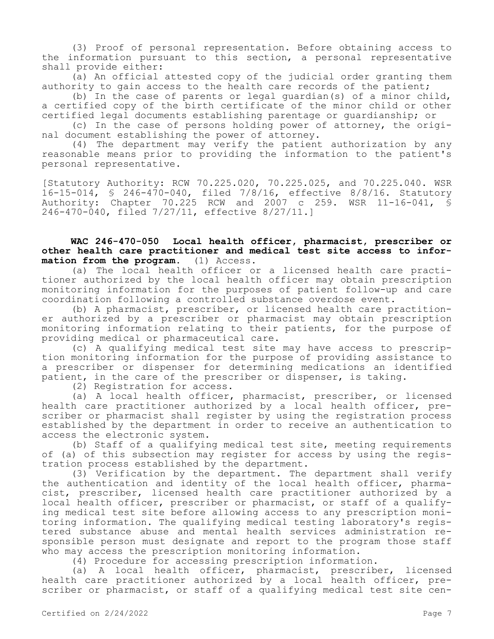(3) Proof of personal representation. Before obtaining access to the information pursuant to this section, a personal representative shall provide either:

(a) An official attested copy of the judicial order granting them authority to gain access to the health care records of the patient;

(b) In the case of parents or legal guardian(s) of a minor child, a certified copy of the birth certificate of the minor child or other certified legal documents establishing parentage or guardianship; or

(c) In the case of persons holding power of attorney, the original document establishing the power of attorney.

(4) The department may verify the patient authorization by any reasonable means prior to providing the information to the patient's personal representative.

[Statutory Authority: RCW 70.225.020, 70.225.025, and 70.225.040. WSR 16-15-014, § 246-470-040, filed 7/8/16, effective 8/8/16. Statutory Authority: Chapter 70.225 RCW and 2007 c 259. WSR 11-16-041, § 246-470-040, filed 7/27/11, effective 8/27/11.]

## **WAC 246-470-050 Local health officer, pharmacist, prescriber or other health care practitioner and medical test site access to information from the program.** (1) Access.

(a) The local health officer or a licensed health care practitioner authorized by the local health officer may obtain prescription monitoring information for the purposes of patient follow-up and care coordination following a controlled substance overdose event.

(b) A pharmacist, prescriber, or licensed health care practitioner authorized by a prescriber or pharmacist may obtain prescription monitoring information relating to their patients, for the purpose of providing medical or pharmaceutical care.

(c) A qualifying medical test site may have access to prescription monitoring information for the purpose of providing assistance to a prescriber or dispenser for determining medications an identified patient, in the care of the prescriber or dispenser, is taking.

(2) Registration for access.

(a) A local health officer, pharmacist, prescriber, or licensed health care practitioner authorized by a local health officer, prescriber or pharmacist shall register by using the registration process established by the department in order to receive an authentication to access the electronic system.

(b) Staff of a qualifying medical test site, meeting requirements of (a) of this subsection may register for access by using the registration process established by the department.

(3) Verification by the department. The department shall verify the authentication and identity of the local health officer, pharmacist, prescriber, licensed health care practitioner authorized by a local health officer, prescriber or pharmacist, or staff of a qualifying medical test site before allowing access to any prescription monitoring information. The qualifying medical testing laboratory's registered substance abuse and mental health services administration responsible person must designate and report to the program those staff who may access the prescription monitoring information.

(4) Procedure for accessing prescription information.

(a) A local health officer, pharmacist, prescriber, licensed health care practitioner authorized by a local health officer, prescriber or pharmacist, or staff of a qualifying medical test site cen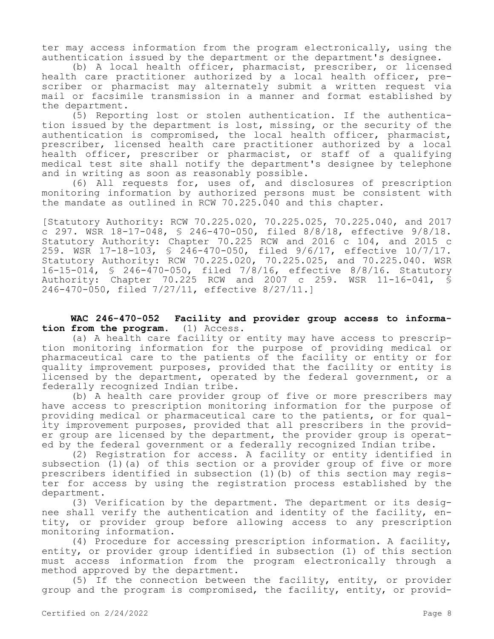ter may access information from the program electronically, using the authentication issued by the department or the department's designee.

(b) A local health officer, pharmacist, prescriber, or licensed health care practitioner authorized by a local health officer, prescriber or pharmacist may alternately submit a written request via mail or facsimile transmission in a manner and format established by the department.

(5) Reporting lost or stolen authentication. If the authentication issued by the department is lost, missing, or the security of the authentication is compromised, the local health officer, pharmacist, prescriber, licensed health care practitioner authorized by a local health officer, prescriber or pharmacist, or staff of a qualifying medical test site shall notify the department's designee by telephone and in writing as soon as reasonably possible.

(6) All requests for, uses of, and disclosures of prescription monitoring information by authorized persons must be consistent with the mandate as outlined in RCW 70.225.040 and this chapter.

[Statutory Authority: RCW 70.225.020, 70.225.025, 70.225.040, and 2017 c 297. WSR 18-17-048, § 246-470-050, filed 8/8/18, effective 9/8/18. Statutory Authority: Chapter 70.225 RCW and 2016 c 104, and 2015 c 259. WSR 17-18-103, § 246-470-050, filed 9/6/17, effective 10/7/17. Statutory Authority: RCW 70.225.020, 70.225.025, and 70.225.040. WSR 16-15-014, § 246-470-050, filed 7/8/16, effective 8/8/16. Statutory Authority: Chapter 70.225 RCW and 2007 c 259. WSR 11-16-041, § 246-470-050, filed 7/27/11, effective 8/27/11.]

**WAC 246-470-052 Facility and provider group access to information from the program.** (1) Access.

(a) A health care facility or entity may have access to prescription monitoring information for the purpose of providing medical or pharmaceutical care to the patients of the facility or entity or for quality improvement purposes, provided that the facility or entity is licensed by the department, operated by the federal government, or a federally recognized Indian tribe.

(b) A health care provider group of five or more prescribers may have access to prescription monitoring information for the purpose of providing medical or pharmaceutical care to the patients, or for quality improvement purposes, provided that all prescribers in the provider group are licensed by the department, the provider group is operated by the federal government or a federally recognized Indian tribe.

(2) Registration for access. A facility or entity identified in subsection (1)(a) of this section or a provider group of five or more prescribers identified in subsection (1)(b) of this section may register for access by using the registration process established by the department.

(3) Verification by the department. The department or its designee shall verify the authentication and identity of the facility, entity, or provider group before allowing access to any prescription monitoring information.

(4) Procedure for accessing prescription information. A facility, entity, or provider group identified in subsection (1) of this section must access information from the program electronically through a method approved by the department.

(5) If the connection between the facility, entity, or provider group and the program is compromised, the facility, entity, or provid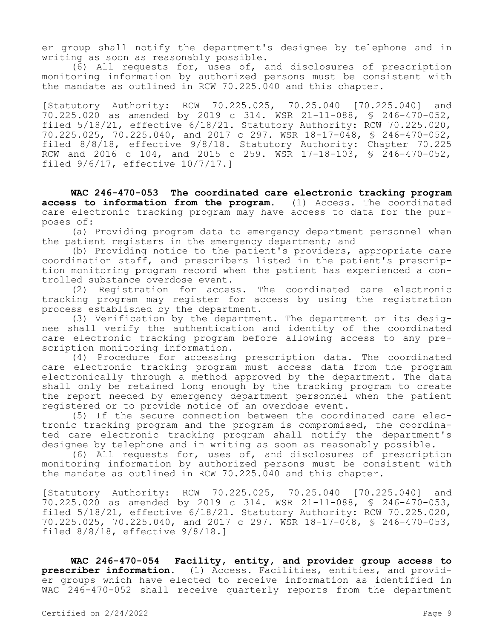er group shall notify the department's designee by telephone and in writing as soon as reasonably possible.

(6) All requests for, uses of, and disclosures of prescription monitoring information by authorized persons must be consistent with the mandate as outlined in RCW 70.225.040 and this chapter.

[Statutory Authority: RCW 70.225.025, 70.25.040 [70.225.040] and 70.225.020 as amended by 2019 c 314. WSR 21-11-088, § 246-470-052, filed 5/18/21, effective 6/18/21. Statutory Authority: RCW 70.225.020, 70.225.025, 70.225.040, and 2017 c 297. WSR 18-17-048, § 246-470-052, filed 8/8/18, effective 9/8/18. Statutory Authority: Chapter 70.225 RCW and 2016 c 104, and 2015 c 259. WSR 17-18-103, § 246-470-052, filed 9/6/17, effective 10/7/17.]

**WAC 246-470-053 The coordinated care electronic tracking program access to information from the program.** (1) Access. The coordinated care electronic tracking program may have access to data for the purposes of:

(a) Providing program data to emergency department personnel when the patient registers in the emergency department; and

(b) Providing notice to the patient's providers, appropriate care coordination staff, and prescribers listed in the patient's prescription monitoring program record when the patient has experienced a controlled substance overdose event.

(2) Registration for access. The coordinated care electronic tracking program may register for access by using the registration process established by the department.

(3) Verification by the department. The department or its designee shall verify the authentication and identity of the coordinated care electronic tracking program before allowing access to any prescription monitoring information.

(4) Procedure for accessing prescription data. The coordinated care electronic tracking program must access data from the program electronically through a method approved by the department. The data shall only be retained long enough by the tracking program to create the report needed by emergency department personnel when the patient registered or to provide notice of an overdose event.

(5) If the secure connection between the coordinated care electronic tracking program and the program is compromised, the coordinated care electronic tracking program shall notify the department's designee by telephone and in writing as soon as reasonably possible.

(6) All requests for, uses of, and disclosures of prescription monitoring information by authorized persons must be consistent with the mandate as outlined in RCW 70.225.040 and this chapter.

[Statutory Authority: RCW 70.225.025, 70.25.040 [70.225.040] and 70.225.020 as amended by 2019 c 314. WSR 21-11-088, § 246-470-053, filed  $5/18/21$ , effective  $6/18/21$ . Statutory Authority: RCW 70.225.020, 70.225.025, 70.225.040, and 2017 c 297. WSR 18-17-048, § 246-470-053, filed 8/8/18, effective 9/8/18.]

**WAC 246-470-054 Facility, entity, and provider group access to prescriber information.** (1) Access. Facilities, entities, and provider groups which have elected to receive information as identified in WAC 246-470-052 shall receive quarterly reports from the department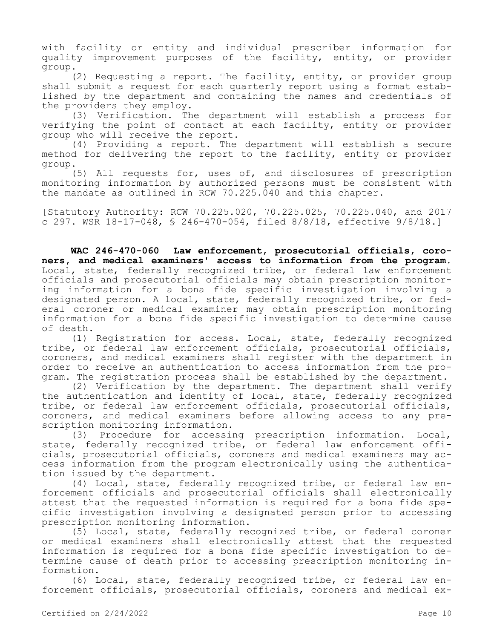with facility or entity and individual prescriber information for quality improvement purposes of the facility, entity, or provider group.

(2) Requesting a report. The facility, entity, or provider group shall submit a request for each quarterly report using a format established by the department and containing the names and credentials of the providers they employ.

(3) Verification. The department will establish a process for verifying the point of contact at each facility, entity or provider group who will receive the report.

(4) Providing a report. The department will establish a secure method for delivering the report to the facility, entity or provider group.

(5) All requests for, uses of, and disclosures of prescription monitoring information by authorized persons must be consistent with the mandate as outlined in RCW 70.225.040 and this chapter.

[Statutory Authority: RCW 70.225.020, 70.225.025, 70.225.040, and 2017 c 297. WSR 18-17-048, § 246-470-054, filed 8/8/18, effective 9/8/18.]

**WAC 246-470-060 Law enforcement, prosecutorial officials, coroners, and medical examiners' access to information from the program.**  Local, state, federally recognized tribe, or federal law enforcement officials and prosecutorial officials may obtain prescription monitoring information for a bona fide specific investigation involving a designated person. A local, state, federally recognized tribe, or federal coroner or medical examiner may obtain prescription monitoring information for a bona fide specific investigation to determine cause of death.

(1) Registration for access. Local, state, federally recognized tribe, or federal law enforcement officials, prosecutorial officials, coroners, and medical examiners shall register with the department in order to receive an authentication to access information from the program. The registration process shall be established by the department.

(2) Verification by the department. The department shall verify the authentication and identity of local, state, federally recognized tribe, or federal law enforcement officials, prosecutorial officials, coroners, and medical examiners before allowing access to any prescription monitoring information.

(3) Procedure for accessing prescription information. Local, state, federally recognized tribe, or federal law enforcement officials, prosecutorial officials, coroners and medical examiners may access information from the program electronically using the authentication issued by the department.

(4) Local, state, federally recognized tribe, or federal law enforcement officials and prosecutorial officials shall electronically attest that the requested information is required for a bona fide specific investigation involving a designated person prior to accessing prescription monitoring information.

(5) Local, state, federally recognized tribe, or federal coroner or medical examiners shall electronically attest that the requested information is required for a bona fide specific investigation to determine cause of death prior to accessing prescription monitoring information.

(6) Local, state, federally recognized tribe, or federal law enforcement officials, prosecutorial officials, coroners and medical ex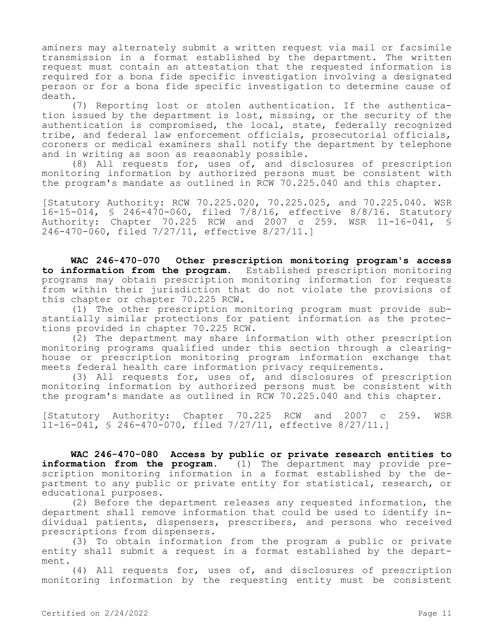aminers may alternately submit a written request via mail or facsimile transmission in a format established by the department. The written request must contain an attestation that the requested information is required for a bona fide specific investigation involving a designated person or for a bona fide specific investigation to determine cause of death.

(7) Reporting lost or stolen authentication. If the authentication issued by the department is lost, missing, or the security of the authentication is compromised, the local, state, federally recognized tribe, and federal law enforcement officials, prosecutorial officials, coroners or medical examiners shall notify the department by telephone and in writing as soon as reasonably possible.

(8) All requests for, uses of, and disclosures of prescription monitoring information by authorized persons must be consistent with the program's mandate as outlined in RCW 70.225.040 and this chapter.

[Statutory Authority: RCW 70.225.020, 70.225.025, and 70.225.040. WSR 16-15-014, § 246-470-060, filed 7/8/16, effective 8/8/16. Statutory Authority: Chapter 70.225 RCW and 2007 c 259. WSR 11-16-041, § 246-470-060, filed 7/27/11, effective 8/27/11.]

**WAC 246-470-070 Other prescription monitoring program's access to information from the program.** Established prescription monitoring programs may obtain prescription monitoring information for requests from within their jurisdiction that do not violate the provisions of this chapter or chapter 70.225 RCW.

(1) The other prescription monitoring program must provide substantially similar protections for patient information as the protections provided in chapter 70.225 RCW.

(2) The department may share information with other prescription monitoring programs qualified under this section through a clearinghouse or prescription monitoring program information exchange that meets federal health care information privacy requirements.

(3) All requests for, uses of, and disclosures of prescription monitoring information by authorized persons must be consistent with the program's mandate as outlined in RCW 70.225.040 and this chapter.

[Statutory Authority: Chapter 70.225 RCW and 2007 c 259. WSR 11-16-041, § 246-470-070, filed 7/27/11, effective 8/27/11.]

**WAC 246-470-080 Access by public or private research entities to information from the program.** (1) The department may provide prescription monitoring information in a format established by the department to any public or private entity for statistical, research, or educational purposes.

(2) Before the department releases any requested information, the department shall remove information that could be used to identify individual patients, dispensers, prescribers, and persons who received prescriptions from dispensers.

(3) To obtain information from the program a public or private entity shall submit a request in a format established by the department.

(4) All requests for, uses of, and disclosures of prescription monitoring information by the requesting entity must be consistent